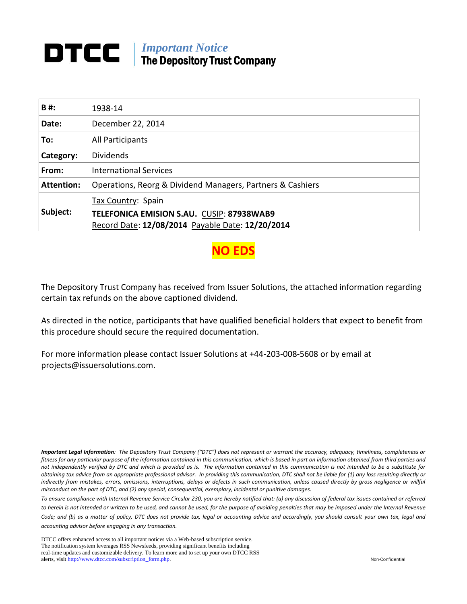## **DTCC** | *Important Notice* The Depository Trust Company

| B#:               | 1938-14                                                                                              |
|-------------------|------------------------------------------------------------------------------------------------------|
| Date:             | December 22, 2014                                                                                    |
| To:               | All Participants                                                                                     |
| Category:         | <b>Dividends</b>                                                                                     |
| From:             | <b>International Services</b>                                                                        |
| <b>Attention:</b> | Operations, Reorg & Dividend Managers, Partners & Cashiers                                           |
| Subject:          | Tax Country: Spain                                                                                   |
|                   | <b>TELEFONICA EMISION S.AU. CUSIP: 87938WAB9</b><br>Record Date: 12/08/2014 Payable Date: 12/20/2014 |

**NO EDS** 

The Depository Trust Company has received from Issuer Solutions, the attached information regarding certain tax refunds on the above captioned dividend.

As directed in the notice, participants that have qualified beneficial holders that expect to benefit from this procedure should secure the required documentation.

For more information please contact Issuer Solutions at +44-203-008-5608 or by email at projects@issuersolutions.com.

*Important Legal Information: The Depository Trust Company ("DTC") does not represent or warrant the accuracy, adequacy, timeliness, completeness or fitness for any particular purpose of the information contained in this communication, which is based in part on information obtained from third parties and not independently verified by DTC and which is provided as is. The information contained in this communication is not intended to be a substitute for obtaining tax advice from an appropriate professional advisor. In providing this communication, DTC shall not be liable for (1) any loss resulting directly or*  indirectly from mistakes, errors, omissions, interruptions, delays or defects in such communication, unless caused directly by gross negligence or willful *misconduct on the part of DTC, and (2) any special, consequential, exemplary, incidental or punitive damages.*

*To ensure compliance with Internal Revenue Service Circular 230, you are hereby notified that: (a) any discussion of federal tax issues contained or referred*  to herein is not intended or written to be used, and cannot be used, for the purpose of avoiding penalties that may be imposed under the Internal Revenue *Code; and (b) as a matter of policy, DTC does not provide tax, legal or accounting advice and accordingly, you should consult your own tax, legal and accounting advisor before engaging in any transaction.*

DTCC offers enhanced access to all important notices via a Web-based subscription service. The notification system leverages RSS Newsfeeds, providing significant benefits including real-time updates and customizable delivery. To learn more and to set up your own DTCC RSS alerts, visit [http://www.dtcc.com/subscription\\_form.php.](http://www.dtcc.com/subscription_form.php) Non-Confidential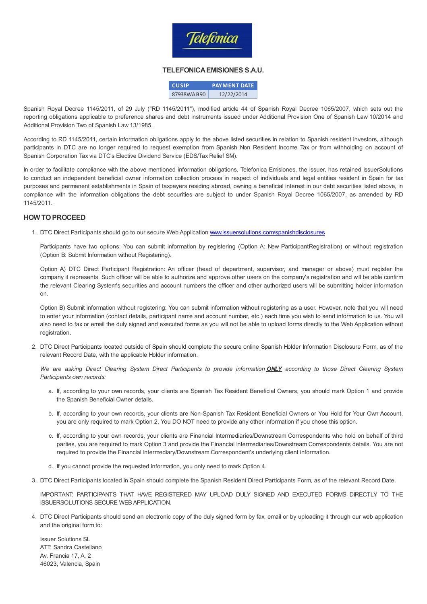

## TELEFONICAEMISIONES S.A.U.

| <b>CUSIP</b> | <b>PAYMENT DATE</b> |
|--------------|---------------------|
| 87938WAB90   | 12/22/2014          |

Spanish Royal Decree 1145/2011, of 29 July ("RD 1145/2011"), modified article 44 of Spanish Royal Decree 1065/2007, which sets out the reporting obligations applicable to preference shares and debt instruments issued under Additional Provision One of Spanish Law 10/2014 and Additional Provision Two of Spanish Law 13/1985.

According to RD 1145/2011, certain information obligations apply to the above listed securities in relation to Spanish resident investors, although participants in DTC are no longer required to request exemption from Spanish Non Resident Income Tax or from withholding on account of Spanish Corporation Tax via DTC's Elective Dividend Service (EDS/Tax Relief SM).

In order to facilitate compliance with the above mentioned information obligations, Telefonica Emisiones, the issuer, has retained IssuerSolutions to conduct an independent beneficial owner information collection process in respect of individuals and legal entities resident in Spain for tax purposes and permanent establishments in Spain of taxpayers residing abroad, owning a beneficial interest in our debt securities listed above, in compliance with the information obligations the debt securities are subject to under Spanish Royal Decree 1065/2007, as amended by RD 1145/2011.

## HOW TOPROCEED

1. DTC Direct Participants should go to our secure Web Application [www.issuersolutions.com/spanishdisclosures](http://www.issuersolutions.com/spanishdisclosures)

Participants have two options: You can submit information by registering (Option A: New ParticipantRegistration) or without registration (Option B: Submit Information without Registering).

Option A) DTC Direct Participant Registration: An officer (head of department, supervisor, and manager or above) must register the company it represents. Such officer will be able to authorize and approve other users on the company's registration and will be able confirm the relevant Clearing System's securities and account numbers the officer and other authorized users will be submitting holder information on.

Option B) Submit information without registering: You can submit information without registering as a user. However, note that you will need to enter your information (contact details, participant name and account number, etc.) each time you wish to send information to us. You will also need to fax or email the duly signed and executed forms as you will not be able to upload forms directly to the Web Application without registration.

2. DTC Direct Participants located outside of Spain should complete the secure online Spanish Holder Information Disclosure Form, as of the relevant Record Date, with the applicable Holder information.

We are asking Direct Clearing System Direct Participants to provide information **ONLY** according to those Direct Clearing System Participants own records:

- a. If, according to your own records, your clients are Spanish Tax Resident Beneficial Owners, you should mark Option 1 and provide the Spanish Beneficial Owner details.
- b. If, according to your own records, your clients are Non-Spanish Tax Resident Beneficial Owners or You Hold for Your Own Account, you are only required to mark Option 2. You DO NOT need to provide any other information if you chose this option.
- c. If, according to your own records, your clients are Financial Intermediaries/Downstream Correspondents who hold on behalf of third parties, you are required to mark Option 3 and provide the Financial Intermediaries/Downstream Correspondents details. You are not required to provide the Financial Intermediary/Downstream Correspondent's underlying client information.
- d. If you cannot provide the requested information, you only need to mark Option 4.
- 3. DTC Direct Participants located in Spain should complete the Spanish Resident Direct Participants Form, as of the relevant Record Date.

IMPORTANT: PARTICIPANTS THAT HAVE REGISTERED MAY UPLOAD DULY SIGNED AND EXECUTED FORMS DIRECTLY TO THE ISSUERSOLUTIONS SECURE WEB APPLICATION.

4. DTC Direct Participants should send an electronic copy of the duly signed form by fax, email or by uploading it through our web application and the original form to:

Issuer Solutions SL ATT: Sandra Castellano Av. Francia 17, A, 2 46023, Valencia, Spain